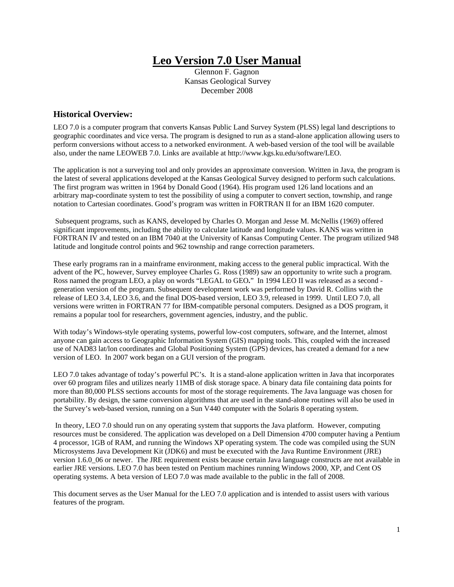# **Leo Version 7.0 User Manual**

Glennon F. Gagnon Kansas Geological Survey December 2008

## **Historical Overview:**

LEO 7.0 is a computer program that converts Kansas Public Land Survey System (PLSS) legal land descriptions to geographic coordinates and vice versa. The program is designed to run as a stand-alone application allowing users to perform conversions without access to a networked environment. A web-based version of the tool will be available also, under the name LEOWEB 7.0. Links are available at http://www.kgs.ku.edu/software/LEO.

The application is not a surveying tool and only provides an approximate conversion. Written in Java, the program is the latest of several applications developed at the Kansas Geological Survey designed to perform such calculations. The first program was written in 1964 by Donald Good (1964). His program used 126 land locations and an arbitrary map-coordinate system to test the possibility of using a computer to convert section, township, and range notation to Cartesian coordinates. Good's program was written in FORTRAN II for an IBM 1620 computer.

 Subsequent programs, such as KANS, developed by Charles O. Morgan and Jesse M. McNellis (1969) offered significant improvements, including the ability to calculate latitude and longitude values. KANS was written in FORTRAN IV and tested on an IBM 7040 at the University of Kansas Computing Center. The program utilized 948 latitude and longitude control points and 962 township and range correction parameters.

These early programs ran in a mainframe environment, making access to the general public impractical. With the advent of the PC, however, Survey employee Charles G. Ross (1989) saw an opportunity to write such a program. Ross named the program LEO, a play on words "LEGAL to GEO**.**" In 1994 LEO II was released as a second generation version of the program. Subsequent development work was performed by David R. Collins with the release of LEO 3.4, LEO 3.6, and the final DOS-based version, LEO 3.9, released in 1999. Until LEO 7.0, all versions were written in FORTRAN 77 for IBM-compatible personal computers. Designed as a DOS program, it remains a popular tool for researchers, government agencies, industry, and the public.

With today's Windows-style operating systems, powerful low-cost computers, software, and the Internet, almost anyone can gain access to Geographic Information System (GIS) mapping tools. This, coupled with the increased use of NAD83 lat/lon coordinates and Global Positioning System (GPS) devices, has created a demand for a new version of LEO. In 2007 work began on a GUI version of the program.

LEO 7.0 takes advantage of today's powerful PC's. It is a stand-alone application written in Java that incorporates over 60 program files and utilizes nearly 11MB of disk storage space. A binary data file containing data points for more than 80,000 PLSS sections accounts for most of the storage requirements. The Java language was chosen for portability. By design, the same conversion algorithms that are used in the stand-alone routines will also be used in the Survey's web-based version, running on a Sun V440 computer with the Solaris 8 operating system.

 In theory, LEO 7.0 should run on any operating system that supports the Java platform. However, computing resources must be considered. The application was developed on a Dell Dimension 4700 computer having a Pentium 4 processor, 1GB of RAM, and running the Windows XP operating system. The code was compiled using the SUN Microsystems Java Development Kit (JDK6) and must be executed with the Java Runtime Environment (JRE) version 1.6.0\_06 or newer. The JRE requirement exists because certain Java language constructs are not available in earlier JRE versions. LEO 7.0 has been tested on Pentium machines running Windows 2000, XP, and Cent OS operating systems. A beta version of LEO 7.0 was made available to the public in the fall of 2008.

This document serves as the User Manual for the LEO 7.0 application and is intended to assist users with various features of the program.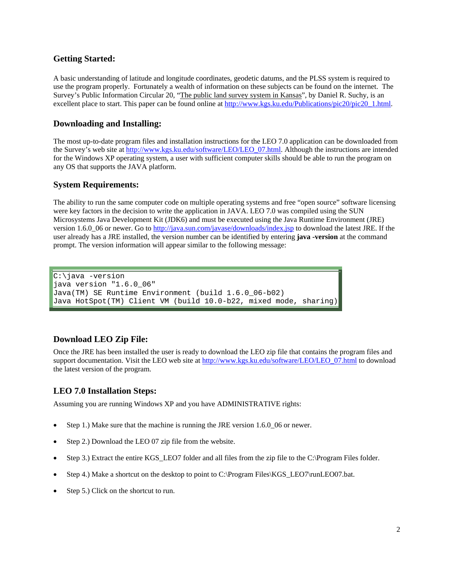### **Getting Started:**

A basic understanding of latitude and longitude coordinates, geodetic datums, and the PLSS system is required to use the program properly. Fortunately a wealth of information on these subjects can be found on the internet. The Survey's Public Information Circular 20, "The public land survey system in Kansas", by Daniel R. Suchy, is an excellent place to start. This paper can be found online at http://www.kgs.ku.edu/Publications/pic20/pic20\_1.html.

### **Downloading and Installing:**

The most up-to-date program files and installation instructions for the LEO 7.0 application can be downloaded from the Survey's web site at http://www.kgs.ku.edu/software/LEO/LEO\_07.html. Although the instructions are intended for the Windows XP operating system, a user with sufficient computer skills should be able to run the program on any OS that supports the JAVA platform.

#### **System Requirements:**

The ability to run the same computer code on multiple operating systems and free "open source" software licensing were key factors in the decision to write the application in JAVA. LEO 7.0 was compiled using the SUN Microsystems Java Development Kit (JDK6) and must be executed using the Java Runtime Environment (JRE) version 1.6.0\_06 or newer. Go to http://java.sun.com/javase/downloads/index.jsp to download the latest JRE. If the user already has a JRE installed, the version number can be identified by entering **java -version** at the command prompt. The version information will appear similar to the following message:

C:\java -version java version "1.6.0\_06" Java(TM) SE Runtime Environment (build 1.6.0\_06-b02) Java HotSpot(TM) Client VM (build 10.0-b22, mixed mode, sharing)

## **Download LEO Zip File:**

Once the JRE has been installed the user is ready to download the LEO zip file that contains the program files and support documentation. Visit the LEO web site at http://www.kgs.ku.edu/software/LEO/LEO\_07.html to download the latest version of the program.

#### **LEO 7.0 Installation Steps:**

Assuming you are running Windows XP and you have ADMINISTRATIVE rights:

- Step 1.) Make sure that the machine is running the JRE version 1.6.0 06 or newer.
- Step 2.) Download the LEO 07 zip file from the website.
- Step 3.) Extract the entire KGS\_LEO7 folder and all files from the zip file to the C:\Program Files folder.
- Step 4.) Make a shortcut on the desktop to point to C:\Program Files\KGS\_LEO7\runLEO07.bat.
- Step 5.) Click on the shortcut to run.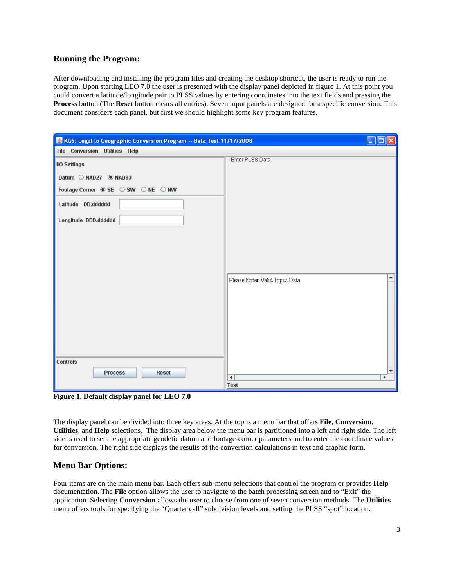## **Running the Program:**

After downloading and installing the program files and creating the desktop shortcut, the user is ready to run the program. Upon starting LEO 7.0 the user is presented with the display panel depicted in figure 1. At this point you could convert a latitude/longitude pair to PLSS values by entering coordinates into the text fields and pressing the **Process** button (The **Reset** button clears all entries). Seven input panels are designed for a specific conversion. This document considers each panel, but first we should highlight some key program features.

| KGS: Legal to Geographic Conversion Program -- Beta Test 11/17/2008 |                                    |
|---------------------------------------------------------------------|------------------------------------|
| File Conversion Utilities Help                                      |                                    |
| I/O Settings                                                        | Enter PLSS Data                    |
|                                                                     |                                    |
| Datum MAD27 ® NAD83                                                 |                                    |
| Footage Corner © SE $\bigcirc$ SW $\bigcirc$ NE $\bigcirc$ NW       |                                    |
| Latitude DD.dddddd                                                  |                                    |
|                                                                     |                                    |
| Longitude -DDD.dddddd                                               |                                    |
|                                                                     |                                    |
|                                                                     |                                    |
|                                                                     |                                    |
|                                                                     |                                    |
|                                                                     | ▲<br>Please Enter Valid Input Data |
|                                                                     |                                    |
|                                                                     |                                    |
|                                                                     |                                    |
|                                                                     |                                    |
|                                                                     |                                    |
|                                                                     |                                    |
|                                                                     |                                    |
| <b>Controls</b>                                                     |                                    |
| <b>Process</b><br><b>Reset</b>                                      | $\overline{\mathbf{v}}$            |
|                                                                     | $\blacktriangleleft$<br>Þ<br>Text  |

**Figure 1. Default display panel for LEO 7.0** 

The display panel can be divided into three key areas. At the top is a menu bar that offers **File**, **Conversion**, **Utilities**, and **Help** selections. The display area below the menu bar is partitioned into a left and right side. The left side is used to set the appropriate geodetic datum and footage-corner parameters and to enter the coordinate values for conversion. The right side displays the results of the conversion calculations in text and graphic form.

## **Menu Bar Options:**

Four items are on the main menu bar. Each offers sub-menu selections that control the program or provides **Help** documentation. The **File** option allows the user to navigate to the batch processing screen and to "Exit" the application. Selecting **Conversion** allows the user to choose from one of seven conversion methods. The **Utilities** menu offers tools for specifying the "Quarter call" subdivision levels and setting the PLSS "spot" location.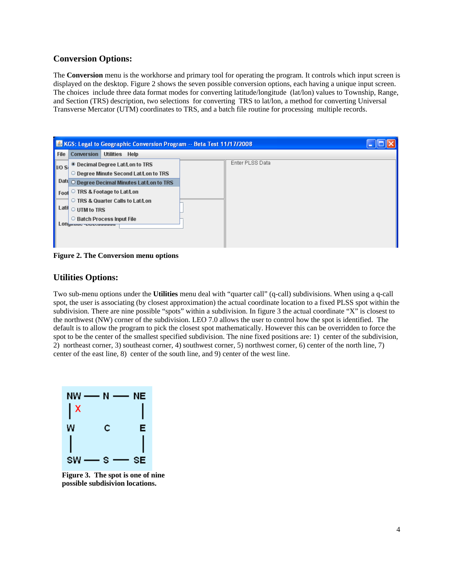#### **Conversion Options:**

The **Conversion** menu is the workhorse and primary tool for operating the program. It controls which input screen is displayed on the desktop. Figure 2 shows the seven possible conversion options, each having a unique input screen. The choices include three data format modes for converting latitude/longitude (lat/lon) values to Township, Range, and Section (TRS) description, two selections for converting TRS to lat/lon, a method for converting Universal Transverse Mercator (UTM) coordinates to TRS, and a batch file routine for processing multiple records.



**Figure 2. The Conversion menu options** 

#### **Utilities Options:**

Two sub-menu options under the **Utilities** menu deal with "quarter call" (q-call) subdivisions. When using a q-call spot, the user is associating (by closest approximation) the actual coordinate location to a fixed PLSS spot within the subdivision. There are nine possible "spots" within a subdivision. In figure 3 the actual coordinate "X" is closest to the northwest (NW) corner of the subdivision. LEO 7.0 allows the user to control how the spot is identified. The default is to allow the program to pick the closest spot mathematically. However this can be overridden to force the spot to be the center of the smallest specified subdivision. The nine fixed positions are: 1) center of the subdivision, 2) northeast corner, 3) southeast corner, 4) southwest corner, 5) northwest corner, 6) center of the north line, 7) center of the east line, 8) center of the south line, and 9) center of the west line.



**Figure 3. The spot is one of nine possible subdisivion locations.**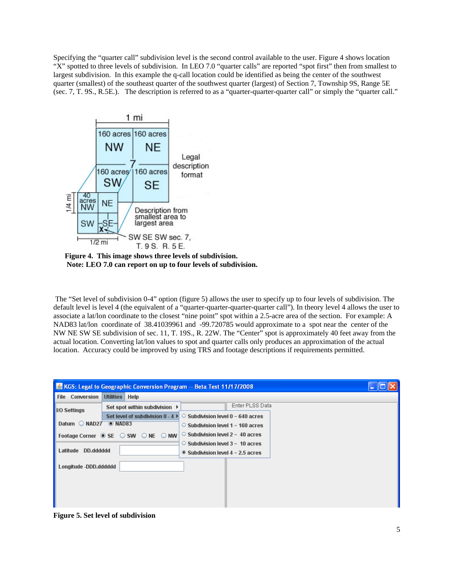Specifying the "quarter call" subdivision level is the second control available to the user. Figure 4 shows location "X" spotted to three levels of subdivision. In LEO 7.0 "quarter calls" are reported "spot first" then from smallest to largest subdivision. In this example the q-call location could be identified as being the center of the southwest quarter (smallest) of the southeast quarter of the southwest quarter (largest) of Section 7, Township 9S, Range 5E (sec. 7, T. 9S., R.5E.). The description is referred to as a "quarter-quarter-quarter call" or simply the "quarter call."



**Figure 4. This image shows three levels of subdivision. Note: LEO 7.0 can report on up to four levels of subdivision.** 

 The "Set level of subdivision 0-4" option (figure 5) allows the user to specify up to four levels of subdivision. The default level is level 4 (the equivalent of a "quarter-quarter-quarter-quarter call"). In theory level 4 allows the user to associate a lat/lon coordinate to the closest "nine point" spot within a 2.5-acre area of the section. For example: A NAD83 lat/lon coordinate of 38.41039961 and -99.720785 would approximate to a spot near the center of the NW NE SW SE subdivision of sec. 11, T. 19S., R. 22W. The "Center" spot is approximately 40 feet away from the actual location. Converting lat/lon values to spot and quarter calls only produces an approximation of the actual location. Accuracy could be improved by using TRS and footage descriptions if requirements permitted.

| <b>KGS: Legal to Geographic Conversion Program -- Beta Test 11/17/2008</b><br>÷ |                                                        |                                              |  |
|---------------------------------------------------------------------------------|--------------------------------------------------------|----------------------------------------------|--|
| <b>File Conversion</b>                                                          | <b>Utilities</b><br>Help                               |                                              |  |
| <b>IO Settings</b>                                                              | Set spot within subdivision ▶                          | Enter PLSS Data                              |  |
|                                                                                 | Set level of subdivision $0 - 4$ $\blacktriangleright$ | $\circ$ Subdivision level 0 $\sim$ 640 acres |  |
| Datum NAD27 © NAD83                                                             |                                                        | $\circ$ Subdivision level 1 $\sim$ 160 acres |  |
|                                                                                 | Footage Corner  i SE  i SW  i NE  i NW                 | $\circ$ Subdivision level 2 $\sim$ 40 acres  |  |
|                                                                                 |                                                        | $\circ$ Subdivision level 3 $\sim$ 10 acres  |  |
| DD.dddddd<br>Latitude                                                           |                                                        | $\bullet$ Subdivision level 4 ~ 2.5 acres    |  |
| Longitude -DDD.dddddd                                                           |                                                        |                                              |  |
|                                                                                 |                                                        |                                              |  |
|                                                                                 |                                                        |                                              |  |
|                                                                                 |                                                        |                                              |  |
|                                                                                 |                                                        |                                              |  |

**Figure 5. Set level of subdivision**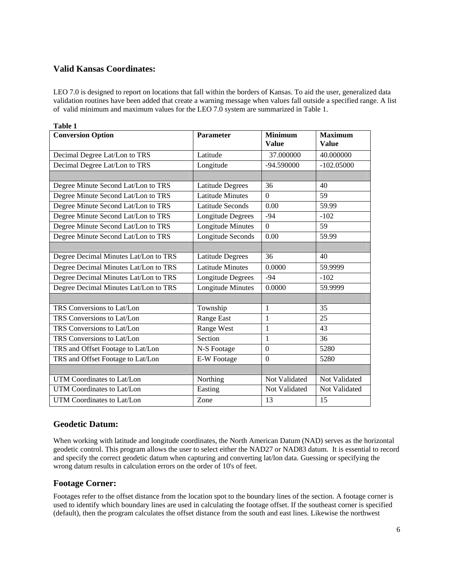# **Valid Kansas Coordinates:**

LEO 7.0 is designed to report on locations that fall within the borders of Kansas. To aid the user, generalized data validation routines have been added that create a warning message when values fall outside a specified range. A list of valid minimum and maximum values for the LEO 7.0 system are summarized in Table 1.

| <b>Table 1</b>                        |                          |                                |                                |
|---------------------------------------|--------------------------|--------------------------------|--------------------------------|
| <b>Conversion Option</b>              | <b>Parameter</b>         | <b>Minimum</b><br><b>Value</b> | <b>Maximum</b><br><b>Value</b> |
| Decimal Degree Lat/Lon to TRS         | Latitude                 | 37.000000                      | 40.000000                      |
| Decimal Degree Lat/Lon to TRS         | Longitude                | -94.590000                     | $-102.05000$                   |
|                                       |                          |                                |                                |
| Degree Minute Second Lat/Lon to TRS   | <b>Latitude Degrees</b>  | 36                             | 40                             |
| Degree Minute Second Lat/Lon to TRS   | <b>Latitude Minutes</b>  | $\Omega$                       | 59                             |
| Degree Minute Second Lat/Lon to TRS   | <b>Latitude Seconds</b>  | 0.00                           | 59.99                          |
| Degree Minute Second Lat/Lon to TRS   | Longitude Degrees        | $-94$                          | $-102$                         |
| Degree Minute Second Lat/Lon to TRS   | <b>Longitude Minutes</b> | $\overline{0}$                 | 59                             |
| Degree Minute Second Lat/Lon to TRS   | Longitude Seconds        | 0.00                           | 59.99                          |
|                                       |                          |                                |                                |
| Degree Decimal Minutes Lat/Lon to TRS | Latitude Degrees         | 36                             | 40                             |
| Degree Decimal Minutes Lat/Lon to TRS | <b>Latitude Minutes</b>  | 0.0000                         | 59.9999                        |
| Degree Decimal Minutes Lat/Lon to TRS | Longitude Degrees        | $-94$                          | $-102$                         |
| Degree Decimal Minutes Lat/Lon to TRS | <b>Longitude Minutes</b> | 0.0000                         | 59.9999                        |
|                                       |                          |                                |                                |
| TRS Conversions to Lat/Lon            | Township                 | 1                              | 35                             |
| TRS Conversions to Lat/Lon            | Range East               | 1                              | 25                             |
| TRS Conversions to Lat/Lon            | Range West               | $\mathbf{1}$                   | 43                             |
| TRS Conversions to Lat/Lon            | Section                  | $\mathbf{1}$                   | 36                             |
| TRS and Offset Footage to Lat/Lon     | N-S Footage              | $\theta$                       | 5280                           |
| TRS and Offset Footage to Lat/Lon     | E-W Footage              | $\mathbf{0}$                   | 5280                           |
|                                       |                          |                                |                                |
| UTM Coordinates to Lat/Lon            | Northing                 | Not Validated                  | Not Validated                  |
| UTM Coordinates to Lat/Lon            | Easting                  | Not Validated                  | Not Validated                  |
| UTM Coordinates to Lat/Lon            | Zone                     | 13                             | 15                             |

#### **Geodetic Datum:**

When working with latitude and longitude coordinates, the North American Datum (NAD) serves as the horizontal geodetic control. This program allows the user to select either the NAD27 or NAD83 datum. It is essential to record and specify the correct geodetic datum when capturing and converting lat/lon data. Guessing or specifying the wrong datum results in calculation errors on the order of 10's of feet.

## **Footage Corner:**

Footages refer to the offset distance from the location spot to the boundary lines of the section. A footage corner is used to identify which boundary lines are used in calculating the footage offset. If the southeast corner is specified (default), then the program calculates the offset distance from the south and east lines. Likewise the northwest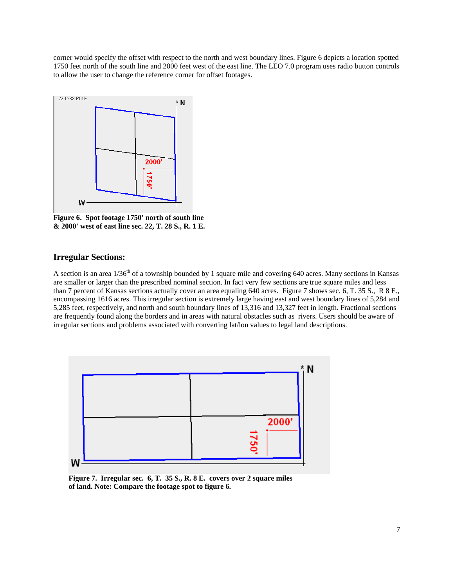corner would specify the offset with respect to the north and west boundary lines. Figure 6 depicts a location spotted 1750 feet north of the south line and 2000 feet west of the east line. The LEO 7.0 program uses radio button controls to allow the user to change the reference corner for offset footages.



**Figure 6. Spot footage 1750' north of south line & 2000' west of east line sec. 22, T. 28 S., R. 1 E.** 

#### **Irregular Sections:**

A section is an area  $1/36<sup>th</sup>$  of a township bounded by 1 square mile and covering 640 acres. Many sections in Kansas are smaller or larger than the prescribed nominal section. In fact very few sections are true square miles and less than 7 percent of Kansas sections actually cover an area equaling 640 acres. Figure 7 shows sec. 6, T. 35 S., R 8 E., encompassing 1616 acres. This irregular section is extremely large having east and west boundary lines of 5,284 and 5,285 feet, respectively, and north and south boundary lines of 13,316 and 13,327 feet in length. Fractional sections are frequently found along the borders and in areas with natural obstacles such as rivers. Users should be aware of irregular sections and problems associated with converting lat/lon values to legal land descriptions.



 **Figure 7. Irregular sec. 6, T. 35 S., R. 8 E. covers over 2 square miles of land. Note: Compare the footage spot to figure 6.**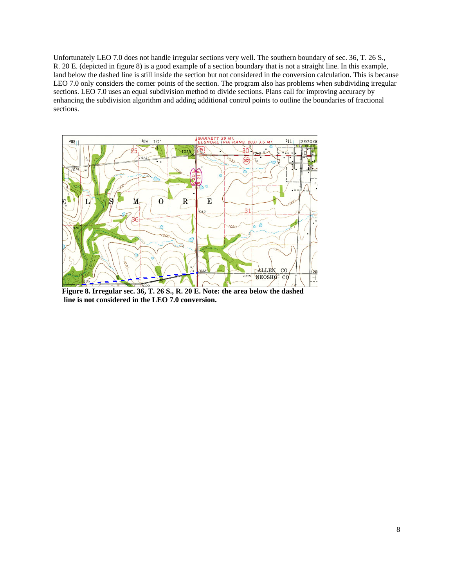Unfortunately LEO 7.0 does not handle irregular sections very well. The southern boundary of sec. 36, T. 26 S., R. 20 E. (depicted in figure 8) is a good example of a section boundary that is not a straight line. In this example, land below the dashed line is still inside the section but not considered in the conversion calculation. This is because LEO 7.0 only considers the corner points of the section. The program also has problems when subdividing irregular sections. LEO 7.0 uses an equal subdivision method to divide sections. Plans call for improving accuracy by enhancing the subdivision algorithm and adding additional control points to outline the boundaries of fractional sections.



**Figure 8. Irregular sec. 36, T. 26 S., R. 20 E. Note: the area below the dashed line is not considered in the LEO 7.0 conversion.**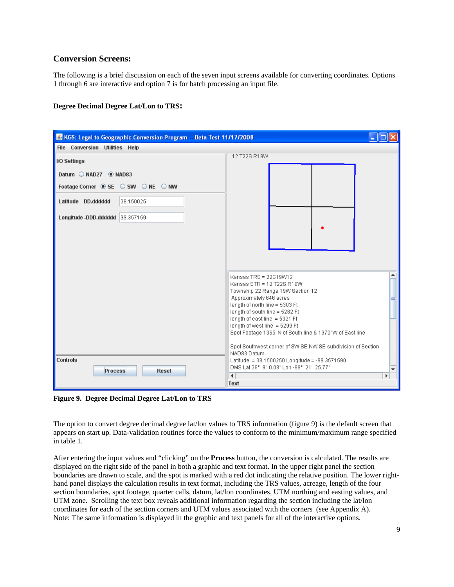### **Conversion Screens:**

The following is a brief discussion on each of the seven input screens available for converting coordinates. Options 1 through 6 are interactive and option 7 is for batch processing an input file.

#### **Degree Decimal Degree Lat/Lon to TRS:**



**Figure 9. Degree Decimal Degree Lat/Lon to TRS** 

The option to convert degree decimal degree lat/lon values to TRS information (figure 9) is the default screen that appears on start up. Data-validation routines force the values to conform to the minimum/maximum range specified in table 1.

After entering the input values and "clicking" on the **Process** button, the conversion is calculated. The results are displayed on the right side of the panel in both a graphic and text format. In the upper right panel the section boundaries are drawn to scale, and the spot is marked with a red dot indicating the relative position. The lower righthand panel displays the calculation results in text format, including the TRS values, acreage, length of the four section boundaries, spot footage, quarter calls, datum, lat/lon coordinates, UTM northing and easting values, and UTM zone. Scrolling the text box reveals additional information regarding the section including the lat/lon coordinates for each of the section corners and UTM values associated with the corners (see Appendix A). Note: The same information is displayed in the graphic and text panels for all of the interactive options.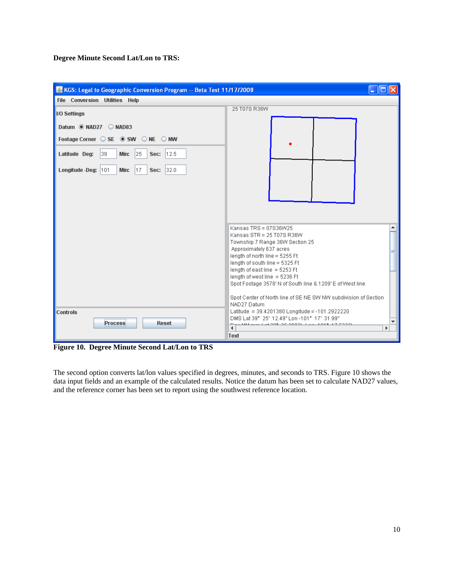**Degree Minute Second Lat/Lon to TRS:** 

| KGS: Legal to Geographic Conversion Program -- Beta Test 11/17/2008 |                                                                                |
|---------------------------------------------------------------------|--------------------------------------------------------------------------------|
| File Conversion Utilities Help                                      |                                                                                |
| I/O Settings                                                        | 25 T07S R36W                                                                   |
|                                                                     |                                                                                |
| Datum @ NAD27 C NAD83                                               |                                                                                |
| Footage Corner ○ SE ● SW ○ NE ○ NW                                  |                                                                                |
| 39.<br>Min: $ 25 $<br>Latitude Deg:<br>12.5<br>Sec:                 |                                                                                |
| Longitude -Deg: 101<br>Min:<br>17<br> 32.0 <br>Sec:                 |                                                                                |
|                                                                     |                                                                                |
|                                                                     |                                                                                |
|                                                                     |                                                                                |
|                                                                     |                                                                                |
|                                                                     |                                                                                |
|                                                                     | Kansas TRS = 07S36W25                                                          |
|                                                                     | Kansas STR = 25 T07S R36W                                                      |
|                                                                     | Township 7 Range 36W Section 25                                                |
|                                                                     | Approximately 637 acres<br>length of north line = 5255 Ft                      |
|                                                                     | length of south line = 5325 Ft                                                 |
|                                                                     | length of east line $=$ 5253 Ft                                                |
|                                                                     | length of west line = 5236 Ft                                                  |
|                                                                     | Spot Footage 3578' N of South line & 1209' E of West line                      |
|                                                                     | Spot Center of North line of SE NE SW NW subdivision of Section<br>NAD27 Datum |
| Controls                                                            | Latitude = 39.4201380 Longitude = -101.2922220                                 |
|                                                                     | DMS Lat 39" 25' 12.49" Lon -101" 17' 31.99"                                    |
| <b>Process</b><br><b>Reset</b>                                      | $27.20021 + 1.00$<br>$\blacktriangleleft$<br>×                                 |
|                                                                     | Text                                                                           |

**Figure 10. Degree Minute Second Lat/Lon to TRS** 

The second option converts lat/lon values specified in degrees, minutes, and seconds to TRS. Figure 10 shows the data input fields and an example of the calculated results. Notice the datum has been set to calculate NAD27 values, and the reference corner has been set to report using the southwest reference location.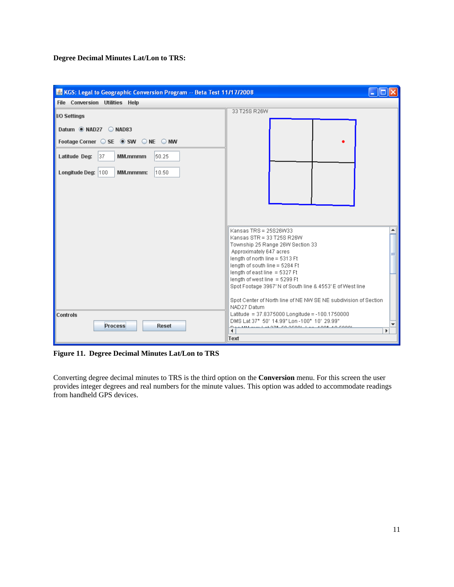**Degree Decimal Minutes Lat/Lon to TRS:** 

| KGS: Legal to Geographic Conversion Program -- Beta Test 11/17/2008       |                                                                                | H. |
|---------------------------------------------------------------------------|--------------------------------------------------------------------------------|----|
| File Conversion Utilities Help                                            |                                                                                |    |
| I/O Settings                                                              | 33 T25S R26W                                                                   |    |
|                                                                           |                                                                                |    |
| Datum @ NAD27 C NAD83                                                     |                                                                                |    |
| Footage Corner $\bigcirc$ SE $\circledast$ SW $\bigcirc$ NE $\bigcirc$ NW |                                                                                |    |
| Latitude Deg:<br> 37 <br>MM.mmmm<br>50.25                                 |                                                                                |    |
| Longitude Deg: 100<br>10.50<br>MM.mmmm:                                   |                                                                                |    |
|                                                                           |                                                                                |    |
|                                                                           |                                                                                |    |
|                                                                           |                                                                                |    |
|                                                                           |                                                                                |    |
|                                                                           | Kansas TRS = 25S26W33                                                          |    |
|                                                                           | Kansas STR = 33 T25S R26W                                                      |    |
|                                                                           | Township 25 Range 26W Section 33                                               |    |
|                                                                           | Approximately 647 acres<br>length of north line = 5313 Ft                      |    |
|                                                                           | length of south line = 5284 Ft                                                 |    |
|                                                                           | length of east line = 5327 Ft                                                  |    |
|                                                                           | length of west line = 5299 Ft                                                  |    |
|                                                                           | Spot Footage 3967' N of South line & 4553' E of West line                      |    |
|                                                                           | Spot Center of North line of NE NW SE NE subdivision of Section<br>NAD27 Datum |    |
| Controls                                                                  | Latitude = 37.8375000 Longitude = -100.1750000                                 |    |
| <b>Process</b><br>Reset                                                   | DMS Lat 37° 50' 14.99" Lon -100° 10' 29.99"                                    |    |
|                                                                           | CO OCOOL L. L. LOOR<br>$\blacktriangleleft$                                    | ь  |
|                                                                           | Text                                                                           |    |

**Figure 11. Degree Decimal Minutes Lat/Lon to TRS**

Converting degree decimal minutes to TRS is the third option on the **Conversion** menu. For this screen the user provides integer degrees and real numbers for the minute values. This option was added to accommodate readings from handheld GPS devices.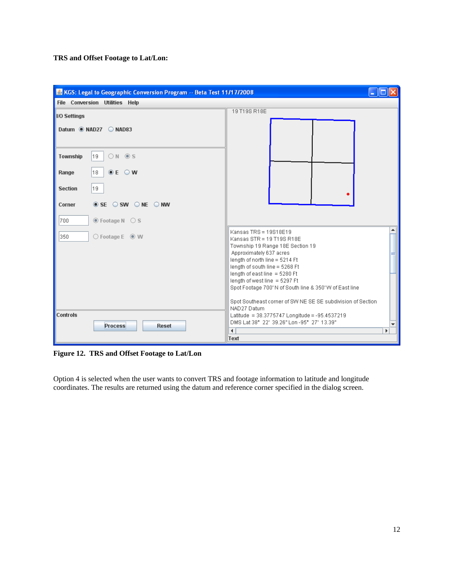**TRS and Offset Footage to Lat/Lon:** 

| KGS: Legal to Geographic Conversion Program -- Beta Test 11/17/2008                              | $-10$                                                                                                                                                                                                                                                                                                                                                                                            |
|--------------------------------------------------------------------------------------------------|--------------------------------------------------------------------------------------------------------------------------------------------------------------------------------------------------------------------------------------------------------------------------------------------------------------------------------------------------------------------------------------------------|
| File Conversion Utilities Help                                                                   |                                                                                                                                                                                                                                                                                                                                                                                                  |
| <b>IO Settings</b>                                                                               | 19 T19S R18E                                                                                                                                                                                                                                                                                                                                                                                     |
| Datum @ NAD27 C NAD83                                                                            |                                                                                                                                                                                                                                                                                                                                                                                                  |
| ON OS<br>19<br>Township                                                                          |                                                                                                                                                                                                                                                                                                                                                                                                  |
| $O E$ $O$ W<br>18.<br>Range                                                                      |                                                                                                                                                                                                                                                                                                                                                                                                  |
| 19.<br><b>Section</b>                                                                            |                                                                                                                                                                                                                                                                                                                                                                                                  |
| $\circledcirc$ SE $\circlearrowright$ SW $\circlearrowright$ NE $\circlearrowright$ NW<br>Corner |                                                                                                                                                                                                                                                                                                                                                                                                  |
| <b> ■</b> Footage N ○ S<br>700                                                                   |                                                                                                                                                                                                                                                                                                                                                                                                  |
| $\bigcirc$ Footage E $\circledast$ W<br>350                                                      | Kansas TRS = 19818E19<br>Kansas STR = 19 T19S R18E<br>Township 19 Range 18E Section 19<br>Approximately 637 acres<br>length of north line = 5214 Ft<br>length of south line = 5268 Ft<br>length of east line = 5280 Ft<br>length of west line = 5297 Ft<br>Spot Footage 700' N of South line & 350' W of East line<br>Spot Southeast corner of SW NE SE SE subdivision of Section<br>NAD27 Datum |
| Controls<br><b>Process</b><br><b>Reset</b>                                                       | Latitude = 38.3775747 Longitude = -95.4537219<br>DMS Lat 38" 22" 39.26" Lon - 95" 27" 13.39"<br>$\blacktriangleleft$<br>Þ<br>Text                                                                                                                                                                                                                                                                |

**Figure 12. TRS and Offset Footage to Lat/Lon** 

Option 4 is selected when the user wants to convert TRS and footage information to latitude and longitude coordinates. The results are returned using the datum and reference corner specified in the dialog screen.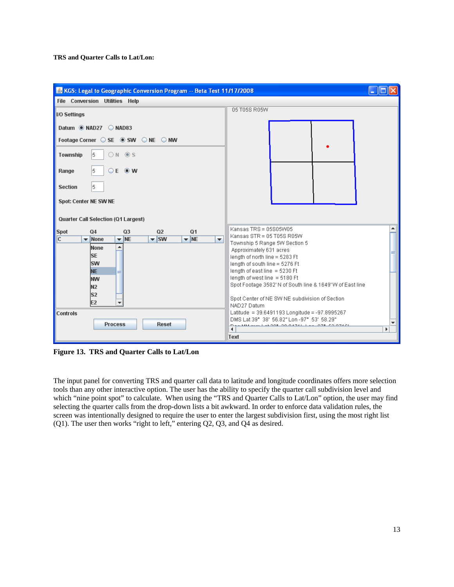

**Figure 13. TRS and Quarter Calls to Lat/Lon** 

The input panel for converting TRS and quarter call data to latitude and longitude coordinates offers more selection tools than any other interactive option. The user has the ability to specify the quarter call subdivision level and which "nine point spot" to calculate. When using the "TRS and Quarter Calls to Lat/Lon" option, the user may find selecting the quarter calls from the drop-down lists a bit awkward. In order to enforce data validation rules, the screen was intentionally designed to require the user to enter the largest subdivision first, using the most right list (Q1). The user then works "right to left," entering Q2, Q3, and Q4 as desired.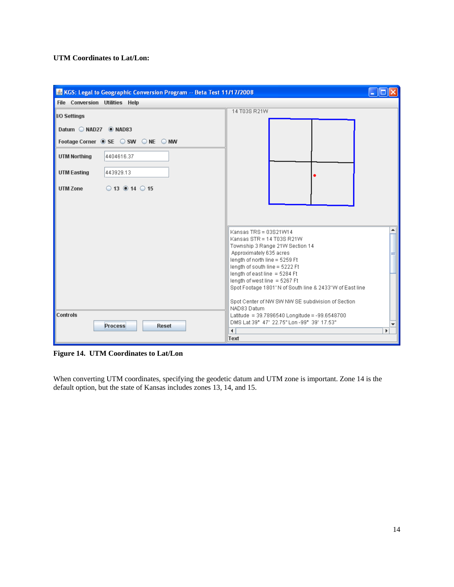#### **UTM Coordinates to Lat/Lon:**

| KGS: Legal to Geographic Conversion Program -- Beta Test 11/17/2008 |                                                                                                                                                                                                                                                                                                                                                                                           | $-10$ |
|---------------------------------------------------------------------|-------------------------------------------------------------------------------------------------------------------------------------------------------------------------------------------------------------------------------------------------------------------------------------------------------------------------------------------------------------------------------------------|-------|
| File Conversion Utilities Help                                      |                                                                                                                                                                                                                                                                                                                                                                                           |       |
| I/O Settings                                                        | 14 T03S R21W                                                                                                                                                                                                                                                                                                                                                                              |       |
| Datum NAD27 ® NAD83                                                 |                                                                                                                                                                                                                                                                                                                                                                                           |       |
| Footage Corner SE SW ONE ONW                                        |                                                                                                                                                                                                                                                                                                                                                                                           |       |
| <b>UTM Northing</b><br>4404616.37                                   |                                                                                                                                                                                                                                                                                                                                                                                           |       |
| 443929.13<br><b>UTM Easting</b>                                     |                                                                                                                                                                                                                                                                                                                                                                                           |       |
| $\bigcirc$ 13 $\bigcirc$ 14 $\bigcirc$ 15<br><b>UTM Zone</b>        |                                                                                                                                                                                                                                                                                                                                                                                           |       |
|                                                                     | Kansas TRS = 03S21W14<br>Kansas STR = 14 T03S R21W<br>Township 3 Range 21W Section 14<br>Approximately 635 acres<br>length of north line = 5259 Ft<br>length of south line = 5222 Ft<br>length of east line $=$ 5284 Ft<br>length of west line = 5267 Ft<br>Spot Footage 1801' N of South line & 2433' W of East line<br>Spot Center of NW SW NW SE subdivision of Section<br>NAD83 Datum |       |
| Controls<br><b>Process</b><br><b>Reset</b>                          | Latitude = 39.7896540 Longitude = -99.6548700<br>DMS Lat 39° 47' 22.75" Lon - 99° 39' 17.53"<br>$\blacktriangleleft$<br>Text                                                                                                                                                                                                                                                              | Þ     |

**Figure 14. UTM Coordinates to Lat/Lon** 

When converting UTM coordinates, specifying the geodetic datum and UTM zone is important. Zone 14 is the default option, but the state of Kansas includes zones 13, 14, and 15.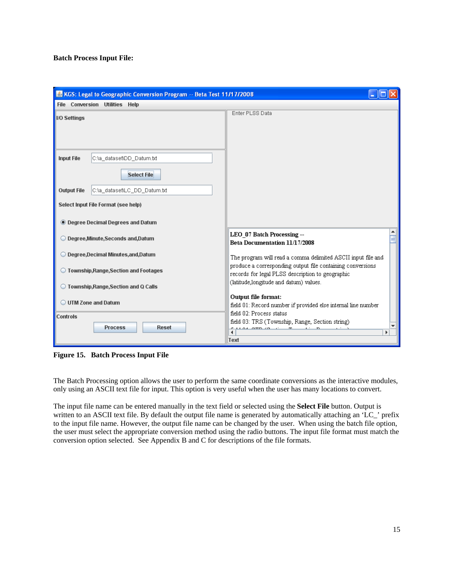#### **Batch Process Input File:**

| KGS: Legal to Geographic Conversion Program -- Beta Test 11/17/2008 |                                                                                            |
|---------------------------------------------------------------------|--------------------------------------------------------------------------------------------|
| File Conversion Utilities Help                                      |                                                                                            |
| <b>IO Settings</b>                                                  | Enter PLSS Data                                                                            |
|                                                                     |                                                                                            |
|                                                                     |                                                                                            |
|                                                                     |                                                                                            |
| <b>Input File</b><br>C:\a_dataset\DD_Datum.bd                       |                                                                                            |
| <b>Select File</b>                                                  |                                                                                            |
|                                                                     |                                                                                            |
| <b>Output File</b><br>C:\a_dataset\LC_DD_Datum.bt                   |                                                                                            |
| Select Input File Format (see help)                                 |                                                                                            |
|                                                                     |                                                                                            |
| <b>C</b> Degree Decimal Degrees and Datum                           |                                                                                            |
| © Degree,Minute,Seconds and,Datum                                   | LEO_07 Batch Processing --                                                                 |
|                                                                     | Beta Documentation 11/17/2008                                                              |
| O Degree, Decimal Minutes, and, Datum                               | The program will read a comma delimited ASCII input file and                               |
| ◯ Township,Range,Section and Footages                               | produce a corresponding output file containing conversions                                 |
|                                                                     | records for legal PLSS description to geographic<br>(latitude,longitude and datum) values. |
| ◯ Township,Range,Section and Q Calls                                |                                                                                            |
| O UTM Zone and Datum                                                | Output file format:                                                                        |
|                                                                     | field 01: Record number if provided else internal line number<br>field 02: Process status  |
| Controls                                                            | field 03: TRS (Township, Range, Section string)                                            |
| <b>Process</b><br><b>Reset</b>                                      | ь                                                                                          |
|                                                                     | Text                                                                                       |

**Figure 15. Batch Process Input File** 

The Batch Processing option allows the user to perform the same coordinate conversions as the interactive modules, only using an ASCII text file for input. This option is very useful when the user has many locations to convert.

The input file name can be entered manually in the text field or selected using the **Select File** button. Output is written to an ASCII text file. By default the output file name is generated by automatically attaching an 'LC\_' prefix to the input file name. However, the output file name can be changed by the user. When using the batch file option, the user must select the appropriate conversion method using the radio buttons. The input file format must match the conversion option selected. See Appendix B and C for descriptions of the file formats.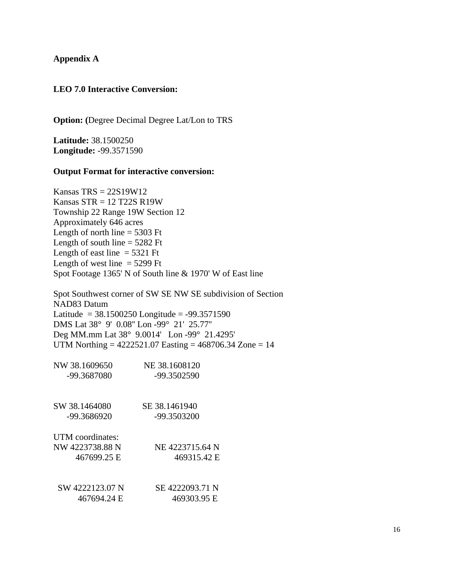## **Appendix A**

## **LEO 7.0 Interactive Conversion:**

**Option: (**Degree Decimal Degree Lat/Lon to TRS

**Latitude:** 38.1500250 **Longitude:** -99.3571590

#### **Output Format for interactive conversion:**

Kansas  $TRS = 22S19W12$ Kansas  $STR = 12$  T22S R19W Township 22 Range 19W Section 12 Approximately 646 acres Length of north line  $=$  5303 Ft Length of south line  $=$  5282 Ft Length of east line  $=$  5321 Ft Length of west line  $=$  5299 Ft Spot Footage 1365' N of South line & 1970' W of East line

Spot Southwest corner of SW SE NW SE subdivision of Section NAD83 Datum Latitude =  $38.1500250$  Longitude =  $-99.3571590$ DMS Lat 38° 9' 0.08'' Lon -99° 21' 25.77'' Deg MM.mm Lat 38° 9.0014' Lon -99° 21.4295' UTM Northing =  $4222521.07$  Easting =  $468706.34$  Zone = 14

| NW 38.1609650    | NE 38.1608120   |
|------------------|-----------------|
| -99.3687080      | -99.3502590     |
| SW 38.1464080    | SE 38.1461940   |
| -99.3686920      | -99.3503200     |
| UTM coordinates: |                 |
| NW 4223738.88 N  | NE 4223715.64 N |
| 467699.25 E      | 469315.42 E     |
| SW 4222123.07 N  | SE 4222093.71 N |
| 467694.24 E      | 469303.95 E     |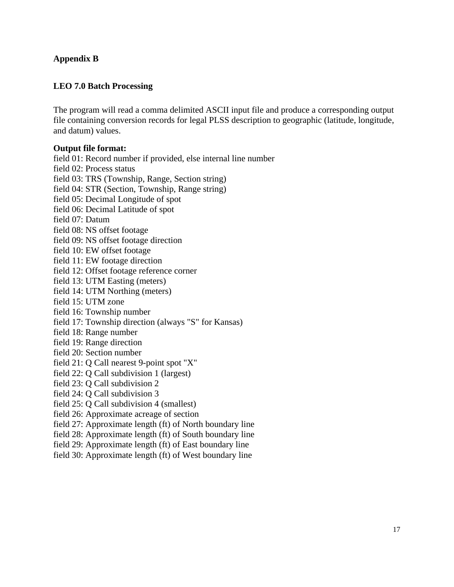# **Appendix B**

## **LEO 7.0 Batch Processing**

The program will read a comma delimited ASCII input file and produce a corresponding output file containing conversion records for legal PLSS description to geographic (latitude, longitude, and datum) values.

#### **Output file format:**

field 01: Record number if provided, else internal line number field 02: Process status field 03: TRS (Township, Range, Section string) field 04: STR (Section, Township, Range string) field 05: Decimal Longitude of spot field 06: Decimal Latitude of spot field 07: Datum field 08: NS offset footage field 09: NS offset footage direction field 10: EW offset footage field 11: EW footage direction field 12: Offset footage reference corner field 13: UTM Easting (meters) field 14: UTM Northing (meters) field 15: UTM zone field 16: Township number field 17: Township direction (always "S" for Kansas) field 18: Range number field 19: Range direction field 20: Section number field 21: Q Call nearest 9-point spot "X" field 22: Q Call subdivision 1 (largest) field 23: Q Call subdivision 2 field 24: Q Call subdivision 3 field 25: Q Call subdivision 4 (smallest) field 26: Approximate acreage of section field 27: Approximate length (ft) of North boundary line field 28: Approximate length (ft) of South boundary line

field 29: Approximate length (ft) of East boundary line

field 30: Approximate length (ft) of West boundary line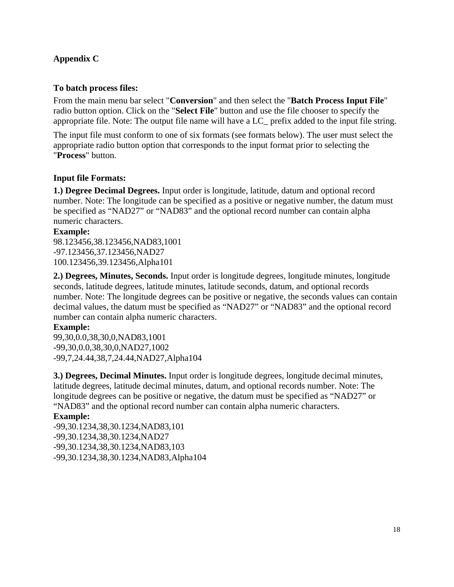# **Appendix C**

# **To batch process files:**

From the main menu bar select "**Conversion**" and then select the "**Batch Process Input File**" radio button option. Click on the "**Select File**" button and use the file chooser to specify the appropriate file. Note: The output file name will have a LC\_ prefix added to the input file string.

The input file must conform to one of six formats (see formats below). The user must select the appropriate radio button option that corresponds to the input format prior to selecting the "**Process**" button.

# **Input file Formats:**

**1.) Degree Decimal Degrees.** Input order is longitude, latitude, datum and optional record number. Note: The longitude can be specified as a positive or negative number, the datum must be specified as "NAD27" or "NAD83" and the optional record number can contain alpha numeric characters.

## **Example:**

98.123456,38.123456,NAD83,1001 -97.123456,37.123456,NAD27 100.123456,39.123456,Alpha101

**2.) Degrees, Minutes, Seconds.** Input order is longitude degrees, longitude minutes, longitude seconds, latitude degrees, latitude minutes, latitude seconds, datum, and optional records number. Note: The longitude degrees can be positive or negative, the seconds values can contain decimal values, the datum must be specified as "NAD27" or "NAD83" and the optional record number can contain alpha numeric characters.

# **Example:**

99,30,0.0,38,30,0,NAD83,1001 -99,30,0.0,38,30,0,NAD27,1002 -99,7,24.44,38,7,24.44,NAD27,Alpha104

**3.) Degrees, Decimal Minutes.** Input order is longitude degrees, longitude decimal minutes, latitude degrees, latitude decimal minutes, datum, and optional records number. Note: The longitude degrees can be positive or negative, the datum must be specified as "NAD27" or "NAD83" and the optional record number can contain alpha numeric characters.

## **Example:**

-99,30.1234,38,30.1234,NAD83,101 -99,30.1234,38,30.1234,NAD27 -99,30.1234,38,30.1234,NAD83,103 -99,30.1234,38,30.1234,NAD83,Alpha104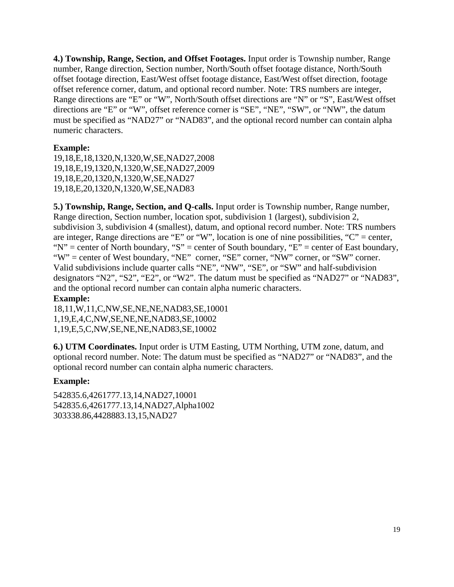**4.) Township, Range, Section, and Offset Footages.** Input order is Township number, Range number, Range direction, Section number, North/South offset footage distance, North/South offset footage direction, East/West offset footage distance, East/West offset direction, footage offset reference corner, datum, and optional record number. Note: TRS numbers are integer, Range directions are "E" or "W", North/South offset directions are "N" or "S", East/West offset directions are "E" or "W", offset reference corner is "SE", "NE", "SW", or "NW", the datum must be specified as "NAD27" or "NAD83", and the optional record number can contain alpha numeric characters.

# **Example:**

19,18,E,18,1320,N,1320,W,SE,NAD27,2008 19,18,E,19,1320,N,1320,W,SE,NAD27,2009 19,18,E,20,1320,N,1320,W,SE,NAD27 19,18,E,20,1320,N,1320,W,SE,NAD83

**5.) Township, Range, Section, and Q-calls.** Input order is Township number, Range number, Range direction, Section number, location spot, subdivision 1 (largest), subdivision 2, subdivision 3, subdivision 4 (smallest), datum, and optional record number. Note: TRS numbers are integer, Range directions are "E" or "W", location is one of nine possibilities, "C" = center, " $N''$  = center of North boundary, "S" = center of South boundary, "E" = center of East boundary, "W" = center of West boundary, "NE" corner, "SE" corner, "NW" corner, or "SW" corner. Valid subdivisions include quarter calls "NE", "NW", "SE", or "SW" and half-subdivision designators "N2", "S2", "E2", or "W2". The datum must be specified as "NAD27" or "NAD83", and the optional record number can contain alpha numeric characters.

# **Example:**

18,11,W,11,C,NW,SE,NE,NE,NAD83,SE,10001 1,19,E,4,C,NW,SE,NE,NE,NAD83,SE,10002 1,19,E,5,C,NW,SE,NE,NE,NAD83,SE,10002

**6.) UTM Coordinates.** Input order is UTM Easting, UTM Northing, UTM zone, datum, and optional record number. Note: The datum must be specified as "NAD27" or "NAD83", and the optional record number can contain alpha numeric characters.

# **Example:**

542835.6,4261777.13,14,NAD27,10001 542835.6,4261777.13,14,NAD27,Alpha1002 303338.86,4428883.13,15,NAD27